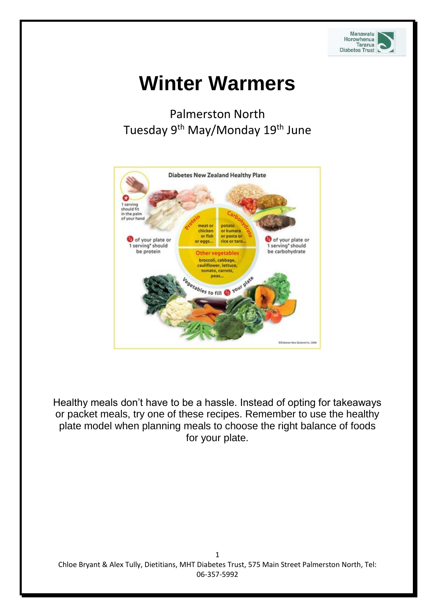

# **Winter Warmers**

## Palmerston North Tuesday 9<sup>th</sup> May/Monday 19<sup>th</sup> June



Healthy meals don't have to be a hassle. Instead of opting for takeaways or packet meals, try one of these recipes. Remember to use the healthy plate model when planning meals to choose the right balance of foods for your plate.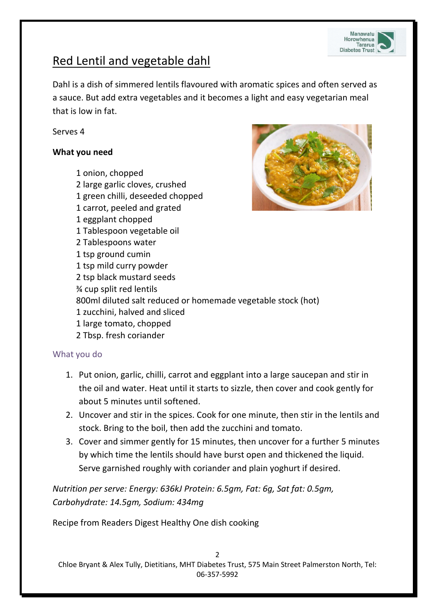

## Red Lentil and vegetable dahl

Dahl is a dish of simmered lentils flavoured with aromatic spices and often served as a sauce. But add extra vegetables and it becomes a light and easy vegetarian meal that is low in fat.

Serves 4

#### **What you need**

1 onion, chopped 2 large garlic cloves, crushed

- 1 green chilli, deseeded chopped
- 1 carrot, peeled and grated
- 1 eggplant chopped
- 1 Tablespoon vegetable oil
- 2 Tablespoons water
- 1 tsp ground cumin
- 1 tsp mild curry powder
- 2 tsp black mustard seeds
- ¾ cup split red lentils
- 800ml diluted salt reduced or homemade vegetable stock (hot)
- 1 zucchini, halved and sliced
- 1 large tomato, chopped
- 2 Tbsp. fresh coriander

#### What you do

- 1. Put onion, garlic, chilli, carrot and eggplant into a large saucepan and stir in the oil and water. Heat until it starts to sizzle, then cover and cook gently for about 5 minutes until softened.
- 2. Uncover and stir in the spices. Cook for one minute, then stir in the lentils and stock. Bring to the boil, then add the zucchini and tomato.
- 3. Cover and simmer gently for 15 minutes, then uncover for a further 5 minutes by which time the lentils should have burst open and thickened the liquid. Serve garnished roughly with coriander and plain yoghurt if desired.

*Nutrition per serve: Energy: 636kJ Protein: 6.5gm, Fat: 6g, Sat fat: 0.5gm, Carbohydrate: 14.5gm, Sodium: 434mg*

Recipe from Readers Digest Healthy One dish cooking

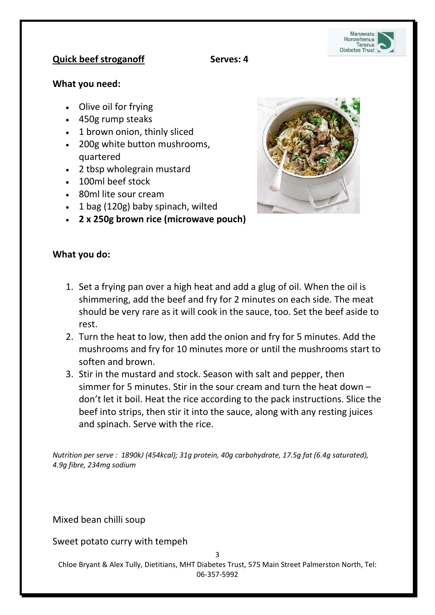

#### **Quick** beef stroganoff Serves: 4

#### **What you need:**

- Olive oil for frying
- 450g rump steaks
- 1 brown onion, thinly sliced
- 200g white button mushrooms, quartered
- 2 tbsp wholegrain mustard
- 100ml beef stock
- 80ml lite sour cream
- 1 bag (120g) baby spinach, wilted
- **2 x 250g brown rice (microwave pouch)**

#### **What you do:**

- 1. Set a frying pan over a high heat and add a glug of oil. When the oil is shimmering, add the beef and fry for 2 minutes on each side. The meat should be very rare as it will cook in the sauce, too. Set the beef aside to rest.
- 2. Turn the heat to low, then add the onion and fry for 5 minutes. Add the mushrooms and fry for 10 minutes more or until the mushrooms start to soften and brown.
- 3. Stir in the mustard and stock. Season with salt and pepper, then simmer for 5 minutes. Stir in the sour cream and turn the heat down – don't let it boil. Heat the rice according to the pack instructions. Slice the beef into strips, then stir it into the sauce, along with any resting juices and spinach. Serve with the rice.

*Nutrition per serve : 1890kJ (454kcal); 31g protein, 40g carbohydrate, 17.5g fat (6.4g saturated), 4.9g fibre, 234mg sodium*

Mixed bean chilli soup

Sweet potato curry with tempeh

3

Chloe Bryant & Alex Tully, Dietitians, MHT Diabetes Trust, 575 Main Street Palmerston North, Tel: 06-357-5992

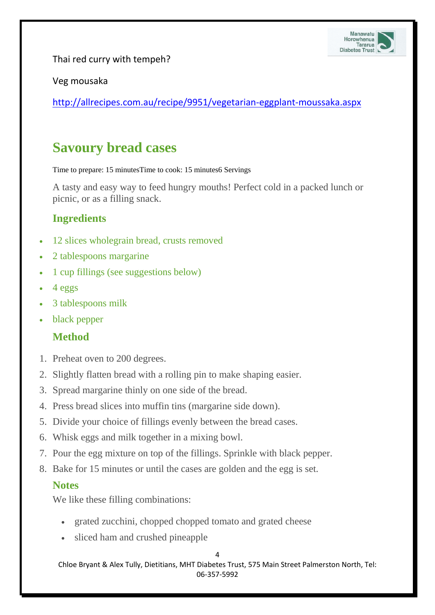

Thai red curry with tempeh?

#### Veg mousaka

<http://allrecipes.com.au/recipe/9951/vegetarian-eggplant-moussaka.aspx>

# **Savoury bread cases**

Time to prepare: 15 minutesTime to cook: 15 minutes6 Servings

A tasty and easy way to feed hungry mouths! Perfect cold in a packed lunch or picnic, or as a filling snack.

### **Ingredients**

- 12 slices wholegrain bread, crusts removed
- 2 tablespoons margarine
- 1 cup fillings (see suggestions below)
- 4 eggs
- 3 tablespoons milk
- black pepper

## **Method**

- 1. Preheat oven to 200 degrees.
- 2. Slightly flatten bread with a rolling pin to make shaping easier.
- 3. Spread margarine thinly on one side of the bread.
- 4. Press bread slices into muffin tins (margarine side down).
- 5. Divide your choice of fillings evenly between the bread cases.
- 6. Whisk eggs and milk together in a mixing bowl.
- 7. Pour the egg mixture on top of the fillings. Sprinkle with black pepper.
- 8. Bake for 15 minutes or until the cases are golden and the egg is set.

#### **Notes**

We like these filling combinations:

- grated zucchini, chopped chopped tomato and grated cheese
- sliced ham and crushed pineapple

4

Chloe Bryant & Alex Tully, Dietitians, MHT Diabetes Trust, 575 Main Street Palmerston North, Tel: 06-357-5992